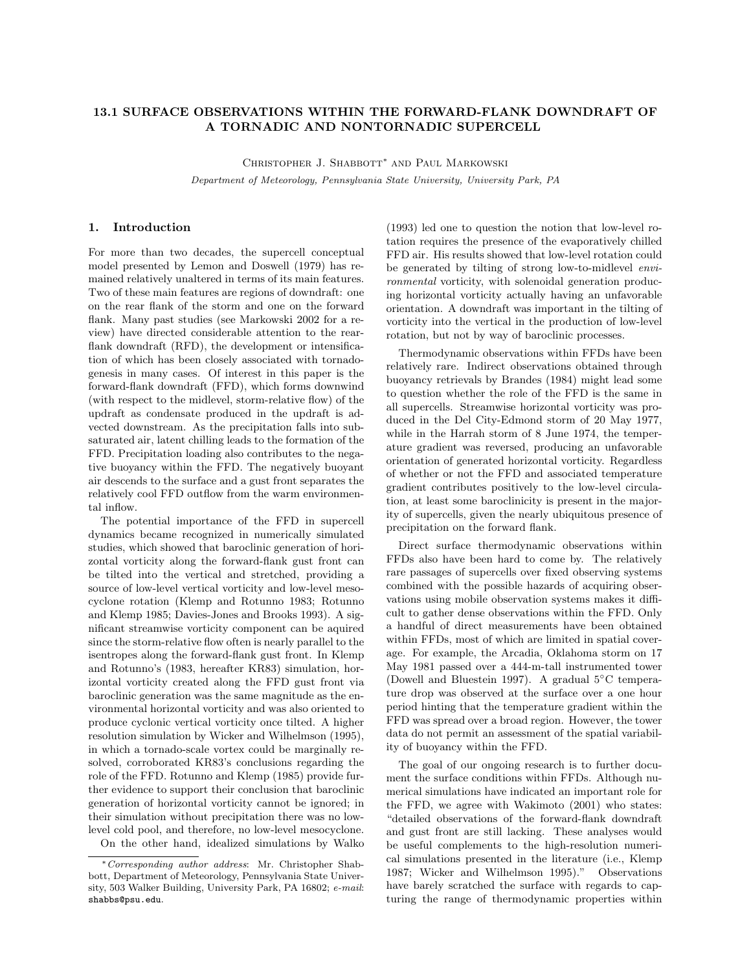# 13.1 SURFACE OBSERVATIONS WITHIN THE FORWARD-FLANK DOWNDRAFT OF A TORNADIC AND NONTORNADIC SUPERCELL

Christopher J. Shabbott<sup>∗</sup> and Paul Markowski Department of Meteorology, Pennsylvania State University, University Park, PA

### 1. Introduction

For more than two decades, the supercell conceptual model presented by Lemon and Doswell (1979) has remained relatively unaltered in terms of its main features. Two of these main features are regions of downdraft: one on the rear flank of the storm and one on the forward flank. Many past studies (see Markowski 2002 for a review) have directed considerable attention to the rearflank downdraft (RFD), the development or intensification of which has been closely associated with tornadogenesis in many cases. Of interest in this paper is the forward-flank downdraft (FFD), which forms downwind (with respect to the midlevel, storm-relative flow) of the updraft as condensate produced in the updraft is advected downstream. As the precipitation falls into subsaturated air, latent chilling leads to the formation of the FFD. Precipitation loading also contributes to the negative buoyancy within the FFD. The negatively buoyant air descends to the surface and a gust front separates the relatively cool FFD outflow from the warm environmental inflow.

The potential importance of the FFD in supercell dynamics became recognized in numerically simulated studies, which showed that baroclinic generation of horizontal vorticity along the forward-flank gust front can be tilted into the vertical and stretched, providing a source of low-level vertical vorticity and low-level mesocyclone rotation (Klemp and Rotunno 1983; Rotunno and Klemp 1985; Davies-Jones and Brooks 1993). A significant streamwise vorticity component can be aquired since the storm-relative flow often is nearly parallel to the isentropes along the forward-flank gust front. In Klemp and Rotunno's (1983, hereafter KR83) simulation, horizontal vorticity created along the FFD gust front via baroclinic generation was the same magnitude as the environmental horizontal vorticity and was also oriented to produce cyclonic vertical vorticity once tilted. A higher resolution simulation by Wicker and Wilhelmson (1995), in which a tornado-scale vortex could be marginally resolved, corroborated KR83's conclusions regarding the role of the FFD. Rotunno and Klemp (1985) provide further evidence to support their conclusion that baroclinic generation of horizontal vorticity cannot be ignored; in their simulation without precipitation there was no lowlevel cold pool, and therefore, no low-level mesocyclone. On the other hand, idealized simulations by Walko

<sup>∗</sup>Corresponding author address: Mr. Christopher Shabbott, Department of Meteorology, Pennsylvania State University, 503 Walker Building, University Park, PA 16802; e-mail: shabbs@psu.edu.

(1993) led one to question the notion that low-level rotation requires the presence of the evaporatively chilled FFD air. His results showed that low-level rotation could be generated by tilting of strong low-to-midlevel environmental vorticity, with solenoidal generation producing horizontal vorticity actually having an unfavorable orientation. A downdraft was important in the tilting of vorticity into the vertical in the production of low-level rotation, but not by way of baroclinic processes.

Thermodynamic observations within FFDs have been relatively rare. Indirect observations obtained through buoyancy retrievals by Brandes (1984) might lead some to question whether the role of the FFD is the same in all supercells. Streamwise horizontal vorticity was produced in the Del City-Edmond storm of 20 May 1977, while in the Harrah storm of 8 June 1974, the temperature gradient was reversed, producing an unfavorable orientation of generated horizontal vorticity. Regardless of whether or not the FFD and associated temperature gradient contributes positively to the low-level circulation, at least some baroclinicity is present in the majority of supercells, given the nearly ubiquitous presence of precipitation on the forward flank.

Direct surface thermodynamic observations within FFDs also have been hard to come by. The relatively rare passages of supercells over fixed observing systems combined with the possible hazards of acquiring observations using mobile observation systems makes it difficult to gather dense observations within the FFD. Only a handful of direct measurements have been obtained within FFDs, most of which are limited in spatial coverage. For example, the Arcadia, Oklahoma storm on 17 May 1981 passed over a 444-m-tall instrumented tower (Dowell and Bluestein 1997). A gradual 5◦C temperature drop was observed at the surface over a one hour period hinting that the temperature gradient within the FFD was spread over a broad region. However, the tower data do not permit an assessment of the spatial variability of buoyancy within the FFD.

The goal of our ongoing research is to further document the surface conditions within FFDs. Although numerical simulations have indicated an important role for the FFD, we agree with Wakimoto (2001) who states: "detailed observations of the forward-flank downdraft and gust front are still lacking. These analyses would be useful complements to the high-resolution numerical simulations presented in the literature (i.e., Klemp 1987; Wicker and Wilhelmson 1995)." Observations have barely scratched the surface with regards to capturing the range of thermodynamic properties within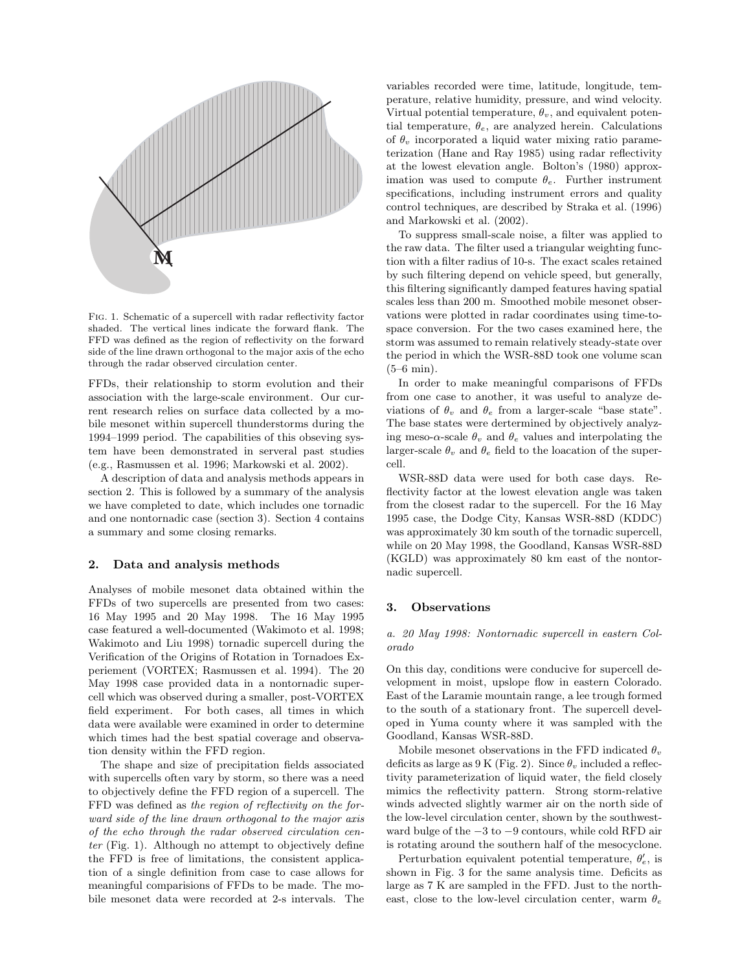

Fig. 1. Schematic of a supercell with radar reflectivity factor shaded. The vertical lines indicate the forward flank. The FFD was defined as the region of reflectivity on the forward side of the line drawn orthogonal to the major axis of the echo through the radar observed circulation center.

FFDs, their relationship to storm evolution and their association with the large-scale environment. Our current research relies on surface data collected by a mobile mesonet within supercell thunderstorms during the 1994–1999 period. The capabilities of this obseving system have been demonstrated in serveral past studies (e.g., Rasmussen et al. 1996; Markowski et al. 2002).

A description of data and analysis methods appears in section 2. This is followed by a summary of the analysis we have completed to date, which includes one tornadic and one nontornadic case (section 3). Section 4 contains a summary and some closing remarks.

## 2. Data and analysis methods

Analyses of mobile mesonet data obtained within the FFDs of two supercells are presented from two cases: 16 May 1995 and 20 May 1998. The 16 May 1995 case featured a well-documented (Wakimoto et al. 1998; Wakimoto and Liu 1998) tornadic supercell during the Verification of the Origins of Rotation in Tornadoes Experiement (VORTEX; Rasmussen et al. 1994). The 20 May 1998 case provided data in a nontornadic supercell which was observed during a smaller, post-VORTEX field experiment. For both cases, all times in which data were available were examined in order to determine which times had the best spatial coverage and observation density within the FFD region.

The shape and size of precipitation fields associated with supercells often vary by storm, so there was a need to objectively define the FFD region of a supercell. The FFD was defined as the region of reflectivity on the forward side of the line drawn orthogonal to the major axis of the echo through the radar observed circulation center (Fig. 1). Although no attempt to objectively define the FFD is free of limitations, the consistent application of a single definition from case to case allows for meaningful comparisions of FFDs to be made. The mobile mesonet data were recorded at 2-s intervals. The variables recorded were time, latitude, longitude, temperature, relative humidity, pressure, and wind velocity. Virtual potential temperature,  $\theta_v$ , and equivalent potential temperature,  $\theta_e$ , are analyzed herein. Calculations of  $\theta_v$  incorporated a liquid water mixing ratio parameterization (Hane and Ray 1985) using radar reflectivity at the lowest elevation angle. Bolton's (1980) approximation was used to compute  $\theta_e$ . Further instrument specifications, including instrument errors and quality control techniques, are described by Straka et al. (1996) and Markowski et al. (2002).

To suppress small-scale noise, a filter was applied to the raw data. The filter used a triangular weighting function with a filter radius of 10-s. The exact scales retained by such filtering depend on vehicle speed, but generally, this filtering significantly damped features having spatial scales less than 200 m. Smoothed mobile mesonet observations were plotted in radar coordinates using time-tospace conversion. For the two cases examined here, the storm was assumed to remain relatively steady-state over the period in which the WSR-88D took one volume scan (5–6 min).

In order to make meaningful comparisons of FFDs from one case to another, it was useful to analyze deviations of  $\theta_v$  and  $\theta_e$  from a larger-scale "base state". The base states were dertermined by objectively analyzing meso- $\alpha$ -scale  $\theta_v$  and  $\theta_e$  values and interpolating the larger-scale  $\theta_v$  and  $\theta_e$  field to the loacation of the supercell.

WSR-88D data were used for both case days. Reflectivity factor at the lowest elevation angle was taken from the closest radar to the supercell. For the 16 May 1995 case, the Dodge City, Kansas WSR-88D (KDDC) was approximately 30 km south of the tornadic supercell, while on 20 May 1998, the Goodland, Kansas WSR-88D (KGLD) was approximately 80 km east of the nontornadic supercell.

#### 3. Observations

a. 20 May 1998: Nontornadic supercell in eastern Colorado

On this day, conditions were conducive for supercell development in moist, upslope flow in eastern Colorado. East of the Laramie mountain range, a lee trough formed to the south of a stationary front. The supercell developed in Yuma county where it was sampled with the Goodland, Kansas WSR-88D.

Mobile mesonet observations in the FFD indicated  $\theta_v$ deficits as large as 9 K (Fig. 2). Since  $\theta_v$  included a reflectivity parameterization of liquid water, the field closely mimics the reflectivity pattern. Strong storm-relative winds advected slightly warmer air on the north side of the low-level circulation center, shown by the southwestward bulge of the −3 to −9 contours, while cold RFD air is rotating around the southern half of the mesocyclone.

Perturbation equivalent potential temperature,  $\theta_e'$ , is shown in Fig. 3 for the same analysis time. Deficits as large as 7 K are sampled in the FFD. Just to the northeast, close to the low-level circulation center, warm  $\theta_{\epsilon}$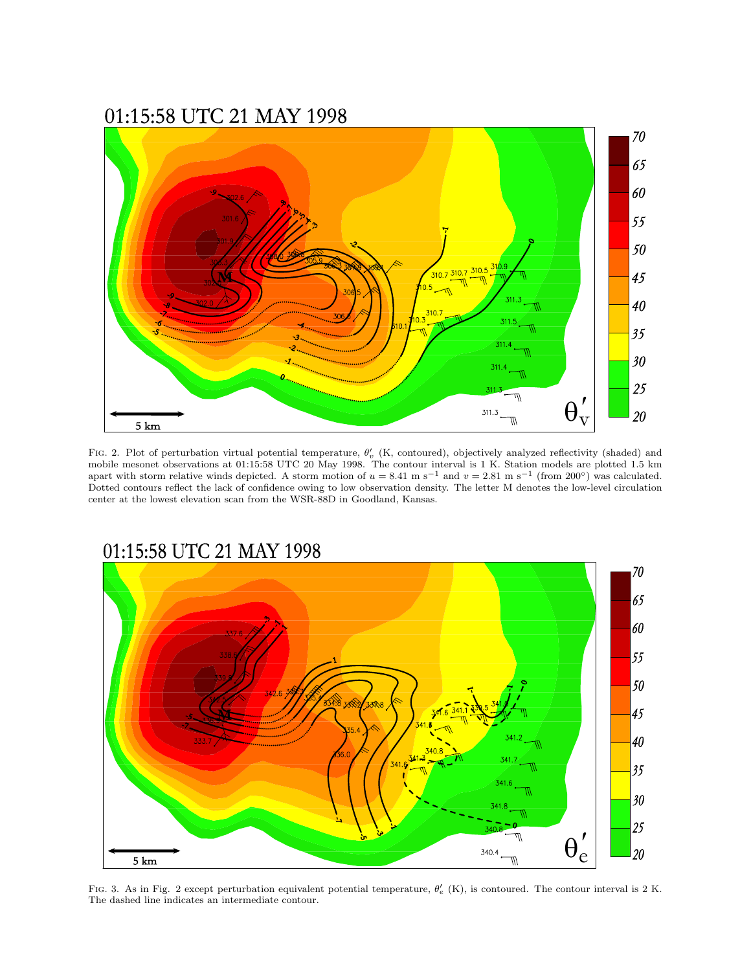# 01:15:58 UTC 21 MAY 1998



FIG. 2. Plot of perturbation virtual potential temperature,  $\theta'_{v}$  (K, contoured), objectively analyzed reflectivity (shaded) and mobile mesonet observations at 01:15:58 UTC 20 May 1998. The contour interval is 1 K. Station models are plotted 1.5 km apart with storm relative winds depicted. A storm motion of  $u = 8.41$  m s<sup>-1</sup> and  $v = 2.81$  m s<sup>-1</sup> (from 200°) was calculated. Dotted contours reflect the lack of confidence owing to low observation density. The letter M denotes the low-level circulation center at the lowest elevation scan from the WSR-88D in Goodland, Kansas.



## FIG. 3. As in Fig. 2 except perturbation equivalent potential temperature,  $\theta'_{e}$  (K), is contoured. The contour interval is 2 K. The dashed line indicates an intermediate contour.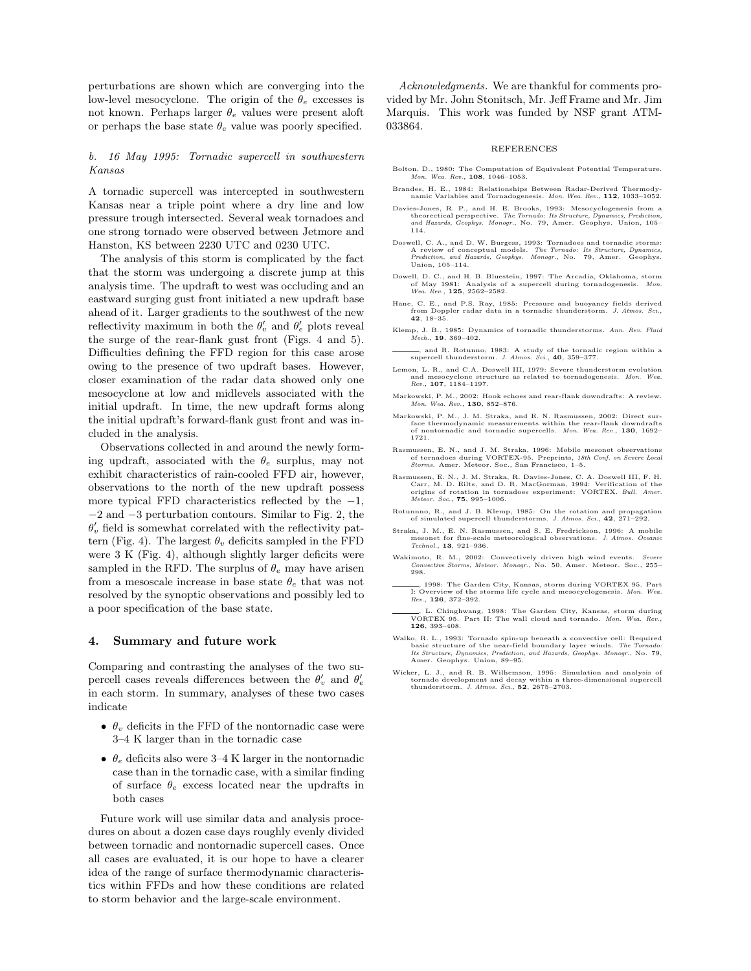perturbations are shown which are converging into the low-level mesocyclone. The origin of the  $\theta_e$  excesses is not known. Perhaps larger  $\theta_e$  values were present aloft or perhaps the base state  $\theta_e$  value was poorly specified.

#### b. 16 May 1995: Tornadic supercell in southwestern Kansas

A tornadic supercell was intercepted in southwestern Kansas near a triple point where a dry line and low pressure trough intersected. Several weak tornadoes and one strong tornado were observed between Jetmore and Hanston, KS between 2230 UTC and 0230 UTC.

The analysis of this storm is complicated by the fact that the storm was undergoing a discrete jump at this analysis time. The updraft to west was occluding and an eastward surging gust front initiated a new updraft base ahead of it. Larger gradients to the southwest of the new reflectivity maximum in both the  $\theta'_v$  and  $\theta'_e$  plots reveal the surge of the rear-flank gust front (Figs. 4 and 5). Difficulties defining the FFD region for this case arose owing to the presence of two updraft bases. However, closer examination of the radar data showed only one mesocyclone at low and midlevels associated with the initial updraft. In time, the new updraft forms along the initial updraft's forward-flank gust front and was included in the analysis.

Observations collected in and around the newly forming updraft, associated with the  $\theta_e$  surplus, may not exhibit characteristics of rain-cooled FFD air, however, observations to the north of the new updraft possess more typical FFD characteristics reflected by the  $-1$ , −2 and −3 perturbation contours. Similar to Fig. 2, the  $\theta'_v$  field is somewhat correlated with the reflectivity pattern (Fig. 4). The largest  $\theta_v$  deficits sampled in the FFD were 3 K (Fig. 4), although slightly larger deficits were sampled in the RFD. The surplus of  $\theta_e$  may have arisen from a mesoscale increase in base state  $\theta_e$  that was not resolved by the synoptic observations and possibly led to a poor specification of the base state.

#### 4. Summary and future work

Comparing and contrasting the analyses of the two supercell cases reveals differences between the  $\theta'_v$  and  $\theta'_e$ in each storm. In summary, analyses of these two cases indicate

- $\theta_v$  deficits in the FFD of the nontornadic case were 3–4 K larger than in the tornadic case
- $\theta_e$  deficits also were 3–4 K larger in the nontornadic case than in the tornadic case, with a similar finding of surface  $\theta_e$  excess located near the updrafts in both cases

Future work will use similar data and analysis procedures on about a dozen case days roughly evenly divided between tornadic and nontornadic supercell cases. Once all cases are evaluated, it is our hope to have a clearer idea of the range of surface thermodynamic characteristics within FFDs and how these conditions are related to storm behavior and the large-scale environment.

Acknowledgments. We are thankful for comments provided by Mr. John Stonitsch, Mr. Jeff Frame and Mr. Jim Marquis. This work was funded by NSF grant ATM-033864.

#### REFERENCES

- Bolton, D., 1980: The Computation of Equivalent Potential Temperature. Mon. Wea. Rev., 108, 1046–1053.
- Brandes, H. E., 1984: Relationships Between Radar-Derived Thermodynamic Variables and Tornadogenesis. Mon. Wea. Rev., 112, 1033–1052.
- Davies-Jones, R. P., and H. E. Brooks, 1993: Mesocyclogenesis from a theorectical perspective. The Tornado: Its Structure, Dynamics, Prediction, 105–<br>and Hazards, Geophys. Monogr., No. 79, Amer. Geophys. Union, 105–<br>114.
- Doswell, C. A., and D. W. Burgess, 1993: Tornadoes and tornadic storms:<br>A review of conceptual models. The Tornado: Its Structure, Dynamics,<br>Prediction, and Hazards, Geophys. Monogr., No. 79, Amer. Geophys. Union, 105–114.
- Dowell, D. C., and H. B. Bluestein, 1997: The Arcadia, Oklahoma, storm<br>of May 1981: Analysis of a supercell during tornadogenesis. Mon.<br>Wea. Rev., 1**25**, 2562–2582.
- Hane, C. E., and P.S. Ray, 1985: Pressure and buoyancy fields derived from Doppler radar data in a tornadic thunderstorm. J. Atmos. Sci., 42, 18–35.
- Klemp, J. B., 1985: Dynamics of tornadic thunderstorms. Ann. Rev. Fluid Mech., 19, 369-402.
- , and R. Rotunno, 1983: A study of the tornadic region within a supercell thunderstorm. J. Atmos. Sci., 40, 359-377.
- Lemon, L. R., and C.A. Doswell III, 1979: Severe thunderstorm evolution and mesocyclone structure as related to tornadogenesis. Mon. Wea. Rev., 107, 1184–1197.
- Markowski, P. M., 2002: Hook echoes and rear-flank downdrafts: A review. Mon. Wea. Rev., 130, 852–876.
- Markowski, P. M., J. M. Straka, and E. N. Rasmussen, 2002: Direct surface thermodynamic measurements within the rear-flank downdrafts<br>of nontornadic and tornadic supercells. Mon. Wea. Rev., 130, 1692– 1721.
- Rasmussen, E. N., and J. M. Straka, 1996: Mobile mesonet observations of tornadoes during VORTEX-95. Preprints, 18th Conf. on Severe Local<br>Storms. Amer. Meteor. Soc., San Francisco, 1–5.
- Rasmussen, E. N., J. M. Straka, R. Davies-Jones, C. A. Doswell III, F. H.<br>Carr, M. D. Eilts, and D. R. MacGorman, 1994: Verification of the<br>origins of rotation in tornadoes experiment: VORTEX. Bull. Amer.<br>Meteor. Soc., **75**
- Rotunnno, R., and J. B. Klemp, 1985: On the rotation and propagation of simulated supercell thunderstorms. J. Atmos. Sci., 42, 271–292.
- Straka, J. M., E. N. Rasmussen, and S. E. Fredrickson, 1996: A mobile mesonet for fine-scale meteorological observations. J. Atmos. Oceanic  $\label{thm:13} \begin{array}{l} \textit{Technol.}, \ \mathbf{13}, \ \mathbf{921-936}. \end{array}$
- Wakimoto, R. M., 2002: Convectively driven high wind events. Severe Convective Storms, Meteor. Monogr., No. 50, Amer. Meteor. Soc., 255–  $298$
- —, 1998: The Garden City, Kansas, storm during VORTEX 95. Part<br>I: Overview of the storms life cycle and mesocyclogenesis. *Mon. Wea.*<br>*Rev.*, **126**, 372–392.
- , L. Chinghwang, 1998: The Garden City, Kansas, storm during VORTEX 95. Part II: The wall cloud and tornado. Mon. Wea. Rev., 126, 393–408.
- Walko, R. L., 1993: Tornado spin-up beneath a convective cell: Required basic structure of the near-field boundary layer winds. The Tornado:<br>Its Structure, Dynamics, Prediction, and Hazards, Geophys. Monogr., No. 79,<br>Amer. Geophys. Union, 89–95.
- Wicker, L. J., and R. B. Wilhemson, 1995: Simulation and analysis of tornado development and decay within a three-dimensional supercell thunderstorm. J. Atmos. Sci., 52, 2675–2703.